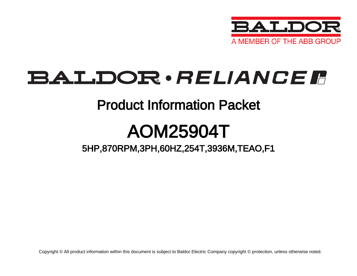

# BALDOR · RELIANCE F

### Product Information Packet

# AOM25904T

5HP,870RPM,3PH,60HZ,254T,3936M,TEAO,F1

Copyright © All product information within this document is subject to Baldor Electric Company copyright © protection, unless otherwise noted.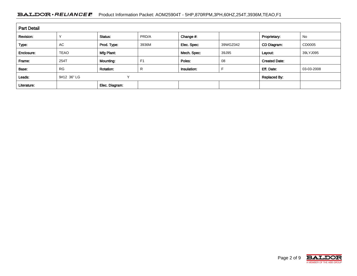#### BALDOR · RELIANCE F Product Information Packet: AOM25904T - 5HP,870RPM,3PH,60HZ,254T,3936M,TEAO,F1

| <b>Part Detail</b> |             |                  |                |             |          |                      |            |  |
|--------------------|-------------|------------------|----------------|-------------|----------|----------------------|------------|--|
| Revision:          |             | Status:          | PRD/A          | Change #:   |          | Proprietary:         | No         |  |
| Type:              | AC          | Prod. Type:      | 3936M          | Elec. Spec: | 39WGZ042 | CD Diagram:          | CD0005     |  |
| Enclosure:         | <b>TEAO</b> | Mfg Plant:       |                | Mech. Spec: | 39J95    | Layout:              | 39LYJ095   |  |
| Frame:             | 254T        | Mounting:        | F <sub>1</sub> | Poles:      | 08       | <b>Created Date:</b> |            |  |
| Base:              | <b>RG</b>   | <b>Rotation:</b> | R              | Insulation: |          | Eff. Date:           | 03-03-2008 |  |
| Leads:             | 9#12 36" LG | v                |                |             |          | <b>Replaced By:</b>  |            |  |
| Literature:        |             | Elec. Diagram:   |                |             |          |                      |            |  |

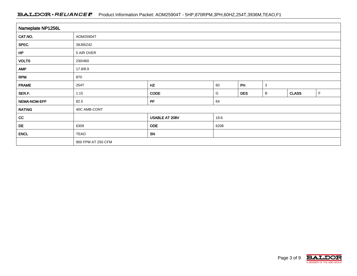#### BALDOR · RELIANCE F Product Information Packet: AOM25904T - 5HP,870RPM,3PH,60HZ,254T,3936M,TEAO,F1

| Nameplate NP1256L |                    |                |      |            |              |              |   |  |  |  |
|-------------------|--------------------|----------------|------|------------|--------------|--------------|---|--|--|--|
| CAT.NO.           | AOM25904T          |                |      |            |              |              |   |  |  |  |
| SPEC.             | 39J95Z42           |                |      |            |              |              |   |  |  |  |
| HP                | 5 AIR OVER         |                |      |            |              |              |   |  |  |  |
| <b>VOLTS</b>      | 230/460            |                |      |            |              |              |   |  |  |  |
| <b>AMP</b>        | 17.8/8.9           |                |      |            |              |              |   |  |  |  |
| <b>RPM</b>        | 870                |                |      |            |              |              |   |  |  |  |
| <b>FRAME</b>      | 254T               | HZ             | 60   | PH         | $\mathbf{3}$ |              |   |  |  |  |
| SER.F.            | 1.15               | <b>CODE</b>    | G    | <b>DES</b> | В            | <b>CLASS</b> | F |  |  |  |
| NEMA-NOM-EFF      | 82.5               | PF             | 64   |            |              |              |   |  |  |  |
| <b>RATING</b>     | 40C AMB-CONT       |                |      |            |              |              |   |  |  |  |
| cc                |                    | USABLE AT 208V | 19.6 |            |              |              |   |  |  |  |
| DE                | 6309               | <b>ODE</b>     | 6208 |            |              |              |   |  |  |  |
| <b>ENCL</b>       | <b>TEAO</b>        | SN             |      |            |              |              |   |  |  |  |
|                   | 900 FPM AT 250 CFM |                |      |            |              |              |   |  |  |  |

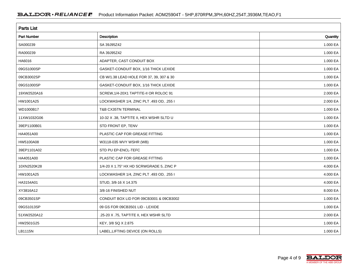| <b>Parts List</b> |                                          |          |  |  |  |  |
|-------------------|------------------------------------------|----------|--|--|--|--|
| Part Number       | <b>Description</b>                       | Quantity |  |  |  |  |
| SA000239          | SA 39J95Z42                              | 1.000 EA |  |  |  |  |
| RA000239          | RA 39J95Z42                              | 1.000 EA |  |  |  |  |
| HA6016            | ADAPTER, CAST CONDUIT BOX                | 1.000 EA |  |  |  |  |
| 09GS1000SP        | GASKET-CONDUIT BOX, 1/16 THICK LEXIDE    | 1.000 EA |  |  |  |  |
| 09CB3002SP        | CB W/1.38 LEAD HOLE FOR 37, 39, 307 & 30 | 1.000 EA |  |  |  |  |
| 09GS1000SP        | GASKET-CONDUIT BOX, 1/16 THICK LEXIDE    | 1.000 EA |  |  |  |  |
| 19XW2520A16       | SCREW, 1/4-20X1 TAPTITE-II OR ROLOC 91   | 2.000 EA |  |  |  |  |
| HW1001A25         | LOCKWASHER 1/4, ZINC PLT .493 OD, .255 I | 2.000 EA |  |  |  |  |
| WD1000B17         | T&B CX35TN TERMINAL                      | 1.000 EA |  |  |  |  |
| 11XW1032G06       | 10-32 X .38, TAPTITE II, HEX WSHR SLTD U | 1.000 EA |  |  |  |  |
| 39EP1100B01       | STD FRONT EP, TENV                       | 1.000 EA |  |  |  |  |
| HA4051A00         | PLASTIC CAP FOR GREASE FITTING           | 1.000 EA |  |  |  |  |
| HW5100A08         | W3118-035 WVY WSHR (WB)                  | 1.000 EA |  |  |  |  |
| 39EP1101A02       | STD PU EP-ENCL-TEFC                      | 1.000 EA |  |  |  |  |
| HA4051A00         | PLASTIC CAP FOR GREASE FITTING           | 1.000 EA |  |  |  |  |
| 10XN2520K28       | 1/4-20 X 1.75" HX HD SCRWGRADE 5, ZINC P | 4.000 EA |  |  |  |  |
| HW1001A25         | LOCKWASHER 1/4, ZINC PLT .493 OD, .255 I | 4.000 EA |  |  |  |  |
| HA3154A01         | STUD, 3/8-16 X 14.375                    | 4.000 EA |  |  |  |  |
| XY3816A12         | 3/8-16 FINISHED NUT                      | 8.000 EA |  |  |  |  |
| 09CB3501SP        | CONDUIT BOX LID FOR 09CB3001 & 09CB3002  | 1.000 EA |  |  |  |  |
| 09GS1013SP        | 09 GS FOR 09CB3501 LID - LEXIDE          | 1.000 EA |  |  |  |  |
| 51XW2520A12       | .25-20 X .75, TAPTITE II, HEX WSHR SLTD  | 2.000 EA |  |  |  |  |
| HW2501G25         | KEY, 3/8 SQ X 2.875                      | 1.000 EA |  |  |  |  |
| LB1115N           | LABEL, LIFTING DEVICE (ON ROLLS)         | 1.000 EA |  |  |  |  |

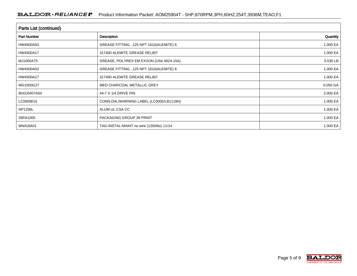| <b>Parts List (continued)</b> |                                          |          |  |  |  |  |
|-------------------------------|------------------------------------------|----------|--|--|--|--|
| <b>Part Number</b>            | <b>Description</b>                       | Quantity |  |  |  |  |
| HW4500A03                     | GREASE FITTING, .125 NPT 1610(ALEMITE) 8 | 1.000 EA |  |  |  |  |
| HW4500A17                     | 317400 ALEMITE GREASE RELIEF             | 1.000 EA |  |  |  |  |
| MJ1000A75                     | GREASE, POLYREX EM EXXON (USe 4824-15A)  | 0.030 LB |  |  |  |  |
| HW4500A03                     | GREASE FITTING, .125 NPT 1610(ALEMITE) 8 | 1.000 EA |  |  |  |  |
| HW4500A17                     | 317400 ALEMITE GREASE RELIEF             | 1.000 EA |  |  |  |  |
| MG1000G27                     | MED CHARCOAL METALLIC GREY               | 0.050 GA |  |  |  |  |
| 85XU0407A04                   | #4-7 X 1/4 DRIVE PIN                     | 2.000 EA |  |  |  |  |
| LC0005E01                     | CONN.DIA./WARNING LABEL (LC0005/LB1119N) | 1.000 EA |  |  |  |  |
| <b>NP1256L</b>                | ALUM UL CSA CC                           | 1.000 EA |  |  |  |  |
| 39PA1000                      | PACKAGING GROUP 39 PRINT                 | 1.000 EA |  |  |  |  |
| MN416A01                      | TAG-INSTAL-MAINT no wire (1200/bx) 11/14 | 1.000 EA |  |  |  |  |

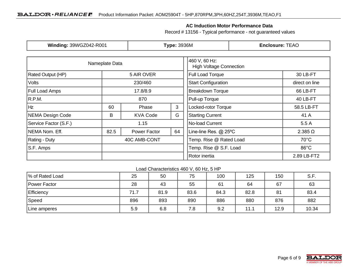#### **AC Induction Motor Performance Data**

Record # 13156 - Typical performance - not guaranteed values

| Winding: 39WGZ042-R001 |                  | <b>Type: 3936M</b> |                                                 | <b>Enclosure: TEAO</b>     |                        |                |
|------------------------|------------------|--------------------|-------------------------------------------------|----------------------------|------------------------|----------------|
|                        | Nameplate Data   |                    | 460 V, 60 Hz:<br><b>High Voltage Connection</b> |                            |                        |                |
| Rated Output (HP)      | 5 AIR OVER       | Full Load Torque   | 30 LB-FT                                        |                            |                        |                |
| <b>Volts</b>           |                  | 230/460            |                                                 | <b>Start Configuration</b> |                        | direct on line |
| <b>Full Load Amps</b>  | 17.8/8.9         |                    |                                                 | <b>Breakdown Torque</b>    |                        | 66 LB-FT       |
| R.P.M.                 |                  | 870                |                                                 | Pull-up Torque             |                        | 40 LB-FT       |
| Hz                     | 3<br>60<br>Phase |                    | Locked-rotor Torque                             |                            | 58.5 LB-FT             |                |
| NEMA Design Code       | B                | <b>KVA Code</b>    | G                                               | <b>Starting Current</b>    |                        | 41 A           |
| Service Factor (S.F.)  | 1.15             |                    |                                                 | No-load Current            |                        | 5.5A           |
| NEMA Nom. Eff.         | 82.5             | Power Factor       | 64                                              | Line-line Res. @ 25°C      |                        | $2.385 \Omega$ |
| Rating - Duty          | 40C AMB-CONT     |                    | Temp. Rise @ Rated Load                         |                            | $70^{\circ}$ C         |                |
| S.F. Amps              |                  |                    |                                                 |                            | Temp. Rise @ S.F. Load |                |
|                        |                  |                    |                                                 | Rotor inertia              |                        | 2.89 LB-FT2    |

Load Characteristics 460 V, 60 Hz, 5 HP

| Ⅰ% of Rated Load  | 25   | 50   | 75   | 100  | 125  | 150  | S.F.  |
|-------------------|------|------|------|------|------|------|-------|
| Power Factor      | 28   | 43   | 55   | 61   | 64   | 67   | 63    |
| <b>Efficiency</b> | 71.7 | 81.9 | 83.6 | 84.3 | 82.8 | 81   | 83.4  |
| Speed             | 896  | 893  | 890  | 886  | 880  | 876  | 882   |
| Line amperes      | 5.9  | 6.8  | 7.8  | 9.2  | 11.1 | 12.9 | 10.34 |

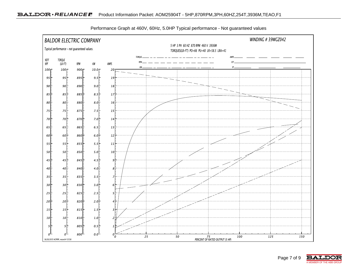

Performance Graph at 460V, 60Hz, 5.0HP Typical performance - Not guaranteed values

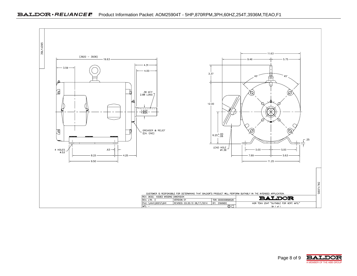